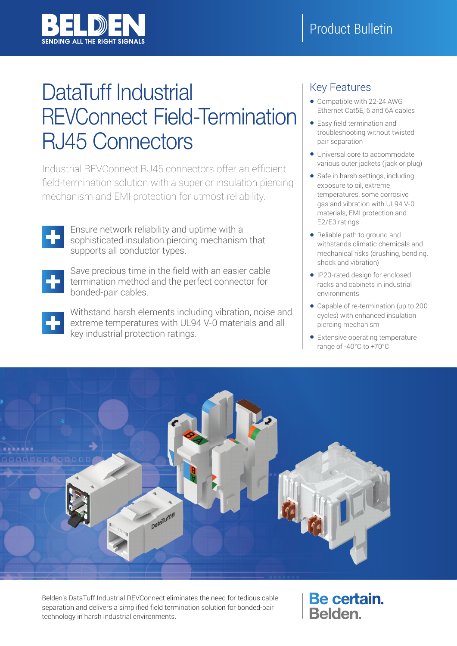

# DataTuff Industrial REVConnect Field-Termination RJ45 Connectors

Industrial REVConnect RJ45 connectors offer an efficient field-termination solution with a superior insulation piercing mechanism and EMI protection for utmost reliability.



Ensure network reliability and uptime with a sophisticated insulation piercing mechanism that supports all conductor types.



Save precious time in the field with an easier cable termination method and the perfect connector for bonded-pair cables.



Withstand harsh elements including vibration, noise and extreme temperatures with UL94 V-0 materials and all key industrial protection ratings.

# Key Features

- Compatible with 22-24 AWG Ethernet Cat5E, 6 and 6A cables
- Easy field termination and troubleshooting without twisted pair separation
- Universal core to accommodate various outer jackets (jack or plug)
- Safe in harsh settings, including exposure to oil, extreme temperatures, some corrosive gas and vibration with UL94 V-0 materials, EMI protection and E2/E3 ratings
- Reliable path to ground and withstands climatic chemicals and mechanical risks (crushing, bending, shock and vibration)
- IP20-rated design for enclosed racks and cabinets in industrial environments
- Capable of re-termination (up to 200 cycles) with enhanced insulation piercing mechanism
- Extensive operating temperature range of -40°C to +70°C



Belden's DataTuff Industrial REVConnect eliminates the need for tedious cable separation and delivers a simplified field termination solution for bonded-pair technology in harsh industrial environments.

Be certain. Belden.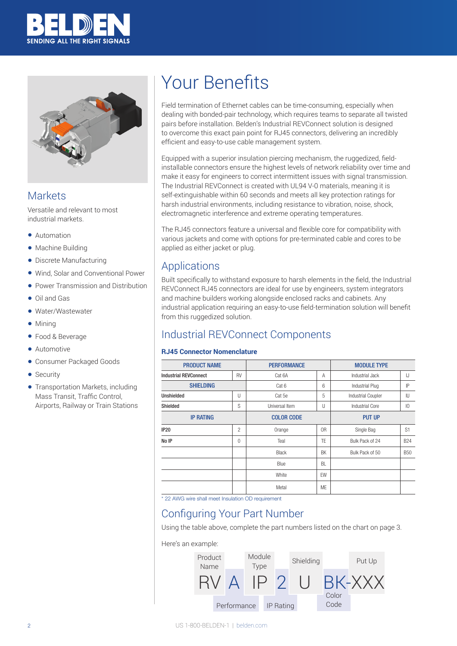



### **Markets**

Versatile and relevant to most industrial markets.

- Automation
- Machine Building
- Discrete Manufacturing
- Wind, Solar and Conventional Power
- Power Transmission and Distribution
- Oil and Gas
- Water/Wastewater
- Mining
- Food & Beverage
- Automotive
- Consumer Packaged Goods
- Security
- Transportation Markets, including Mass Transit, Traffic Control, Airports, Railway or Train Stations

# Your Benefits

Field termination of Ethernet cables can be time-consuming, especially when dealing with bonded-pair technology, which requires teams to separate all twisted pairs before installation. Belden's Industrial REVConnect solution is designed to overcome this exact pain point for RJ45 connectors, delivering an incredibly efficient and easy-to-use cable management system.

Equipped with a superior insulation piercing mechanism, the ruggedized, fieldinstallable connectors ensure the highest levels of network reliability over time and make it easy for engineers to correct intermittent issues with signal transmission. The Industrial REVConnect is created with UL94 V-0 materials, meaning it is self-extinguishable within 60 seconds and meets all key protection ratings for harsh industrial environments, including resistance to vibration, noise, shock, electromagnetic interference and extreme operating temperatures.

The RJ45 connectors feature a universal and flexible core for compatibility with various jackets and come with options for pre-terminated cable and cores to be applied as either jacket or plug.

## Applications

Built specifically to withstand exposure to harsh elements in the field, the Industrial REVConnect RJ45 connectors are ideal for use by engineers, system integrators and machine builders working alongside enclosed racks and cabinets. Any industrial application requiring an easy-to-use field-termination solution will benefit from this ruggedized solution.

## Industrial REVConnect Components

#### **RJ45 Connector Nomenclature**

| <b>PRODUCT NAME</b>                       |                          | <b>PERFORMANCE</b> |           | <b>MODULE TYPE</b>        |                 |  |
|-------------------------------------------|--------------------------|--------------------|-----------|---------------------------|-----------------|--|
| <b>RV</b><br><b>Industrial REVConnect</b> |                          | Cat 6A             | A         | Industrial Jack           | IJ              |  |
| <b>SHIELDING</b>                          |                          | Cat 6              | 6         | Industrial Plug           | P               |  |
| <b>Unshielded</b><br>U                    |                          | Cat 5e             | 5         | <b>Industrial Coupler</b> | IU              |  |
| S<br>Shielded                             |                          | Universal Item     | U         | Industrial Core           | $\overline{10}$ |  |
| <b>IP RATING</b>                          |                          | <b>COLOR CODE</b>  |           | <b>PUT UP</b>             |                 |  |
| <b>IP20</b>                               | $\overline{c}$<br>Orange |                    | 0R        | Single Bag                | S <sub>1</sub>  |  |
| No IP                                     | $\Omega$                 | Teal               | TE        | Bulk Pack of 24           | <b>B24</b>      |  |
|                                           |                          | <b>Black</b>       | BK        | Bulk Pack of 50           | <b>B50</b>      |  |
|                                           |                          | Blue               | BL        |                           |                 |  |
|                                           |                          | White              | EW        |                           |                 |  |
|                                           |                          | Metal              | <b>ME</b> |                           |                 |  |

\* 22 AWG wire shall meet Insulation OD requirement

## Configuring Your Part Number

Using the table above, complete the part numbers listed on the chart on page 3.

#### Here's an example:

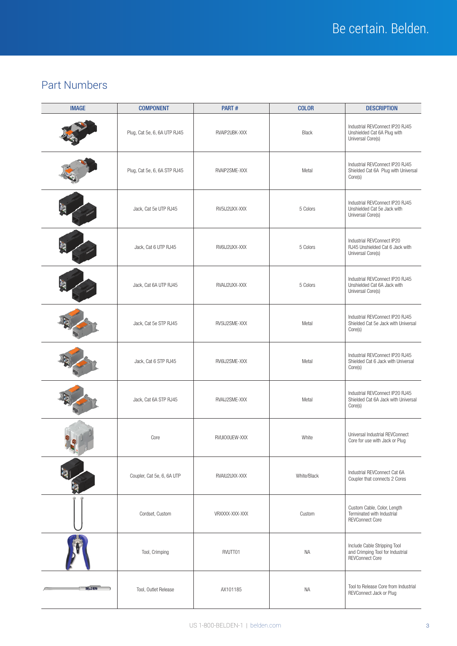# Part Numbers

| <b>IMAGE</b>  | <b>COMPONENT</b>             | PART#          | <b>COLOR</b> | <b>DESCRIPTION</b>                                                                         |
|---------------|------------------------------|----------------|--------------|--------------------------------------------------------------------------------------------|
|               | Plug, Cat 5e, 6, 6A UTP RJ45 | RVAIP2UBK-XXX  | <b>Black</b> | Industrial REVConnect IP20 RJ45<br>Unshielded Cat 6A Plug with<br>Universal Core(s)        |
|               | Plug, Cat 5e, 6, 6A STP RJ45 | RVAIP2SME-XXX  | Metal        | Industrial REVConnect IP20 RJ45<br>Shielded Cat 6A Plug with Universal<br>Core(s)          |
|               | Jack, Cat 5e UTP RJ45        | RV5IJ2UXX-XXX  | 5 Colors     | Industrial REVConnect IP20 RJ45<br>Unshielded Cat 5e Jack with<br>Universal Core(s)        |
|               | Jack, Cat 6 UTP RJ45         | RV6IJ2UXX-XXX  | 5 Colors     | Industrial REVConnect IP20<br>RJ45 Unshielded Cat 6 Jack with<br>Universal Core(s)         |
|               | Jack, Cat 6A UTP RJ45        | RVAIJ2UXX-XXX  | 5 Colors     | Industrial REVConnect IP20 RJ45<br>Unshielded Cat 6A Jack with<br>Universal Core(s)        |
|               | Jack, Cat 5e STP RJ45        | RV5IJ2SME-XXX  | Metal        | Industrial REVConnect IP20 RJ45<br>Shielded Cat 5e Jack with Universal<br>Core(s)          |
|               | Jack, Cat 6 STP RJ45         | RV6IJ2SME-XXX  | Metal        | Industrial REVConnect IP20 RJ45<br>Shielded Cat 6 Jack with Universal<br>Core(s)           |
|               | Jack, Cat 6A STP RJ45        | RVAIJ2SME-XXX  | Metal        | Industrial REVConnect IP20 RJ45<br>Shielded Cat 6A Jack with Universal<br>Core(s)          |
|               | Core                         | RVUIO0UEW-XXX  | White        | Universal Industrial REVConnect<br>Core for use with Jack or Plug                          |
|               | Coupler, Cat 5e, 6, 6A UTP   | RVAIU2UXX-XXX  | White/Black  | Industrial REVConnect Cat 6A<br>Coupler that connects 2 Cores                              |
|               | Cordset, Custom              | VRXXXX-XXX-XXX | Custom       | Custom Cable, Color, Length<br>Terminated with Industrial<br><b>REVConnect Core</b>        |
|               | Tool, Crimping               | RVUTT01        | <b>NA</b>    | Include Cable Stripping Tool<br>and Crimping Tool for Industrial<br><b>REVConnect Core</b> |
| <b>BELDEN</b> | Tool, Outlet Release         | AX101185       | <b>NA</b>    | Tool to Release Core from Industrial<br>REVConnect Jack or Plug                            |